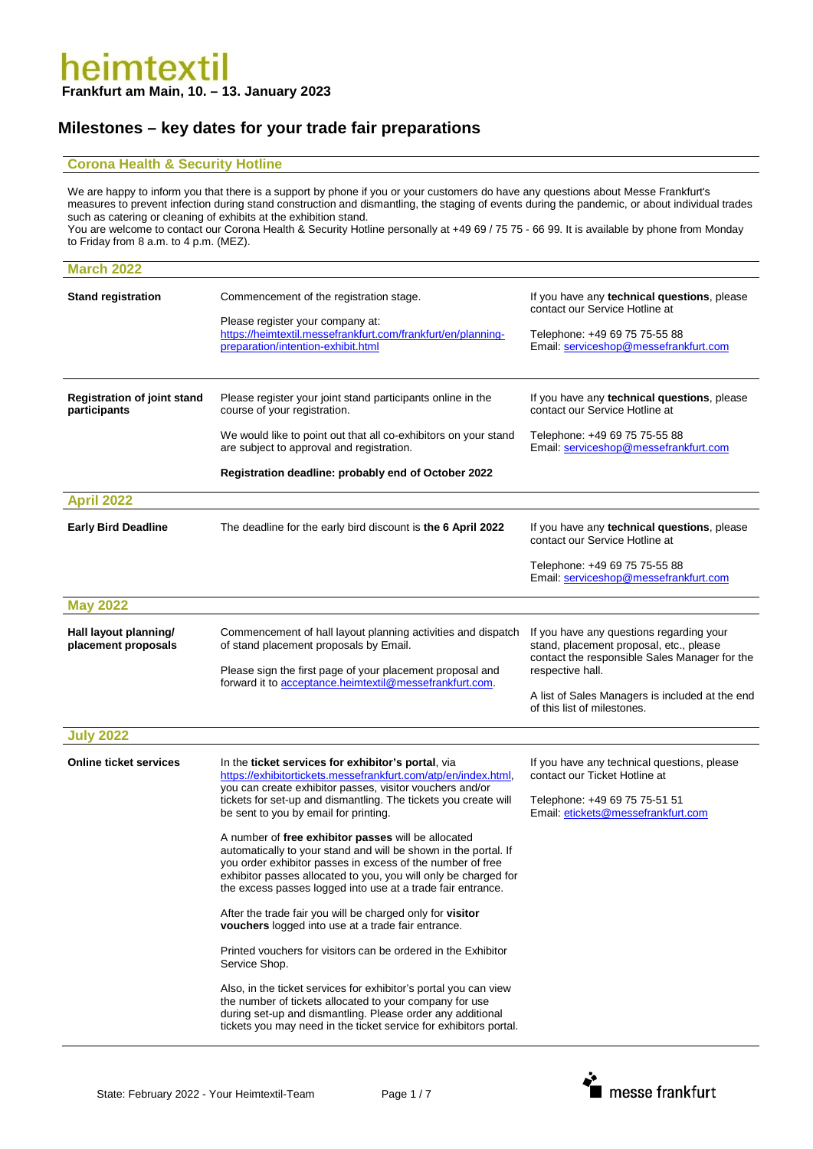#### **Milestones – key dates for your trade fair preparations**

#### **Corona Health & Security Hotline**

We are happy to inform you that there is a support by phone if you or your customers do have any questions about Messe Frankfurt's measures to prevent infection during stand construction and dismantling, the staging of events during the pandemic, or about individual trades such as catering or cleaning of exhibits at the exhibition stand. You are welcome to contact our Corona Health & Security Hotline personally at +49 69 / 75 75 - 66 99. It is available by phone from Monday

to Friday from 8 a.m. to 4 p.m. (MEZ).

| <b>March 2022</b>                                  |                                                                                                                                                                                                                                                                                                                                                                                                                        |                                                                                                                                                                                                                                            |
|----------------------------------------------------|------------------------------------------------------------------------------------------------------------------------------------------------------------------------------------------------------------------------------------------------------------------------------------------------------------------------------------------------------------------------------------------------------------------------|--------------------------------------------------------------------------------------------------------------------------------------------------------------------------------------------------------------------------------------------|
| <b>Stand registration</b>                          | Commencement of the registration stage.<br>Please register your company at:<br>https://heimtextil.messefrankfurt.com/frankfurt/en/planning-<br>preparation/intention-exhibit.html                                                                                                                                                                                                                                      | If you have any technical questions, please<br>contact our Service Hotline at<br>Telephone: +49 69 75 75-55 88<br>Email: serviceshop@messefrankfurt.com                                                                                    |
| <b>Registration of joint stand</b><br>participants | Please register your joint stand participants online in the<br>course of your registration.<br>We would like to point out that all co-exhibitors on your stand                                                                                                                                                                                                                                                         | If you have any technical questions, please<br>contact our Service Hotline at<br>Telephone: +49 69 75 75-55 88                                                                                                                             |
|                                                    | are subject to approval and registration.<br>Registration deadline: probably end of October 2022                                                                                                                                                                                                                                                                                                                       | Email: serviceshop@messefrankfurt.com                                                                                                                                                                                                      |
| <b>April 2022</b>                                  |                                                                                                                                                                                                                                                                                                                                                                                                                        |                                                                                                                                                                                                                                            |
| <b>Early Bird Deadline</b>                         | The deadline for the early bird discount is the 6 April 2022                                                                                                                                                                                                                                                                                                                                                           | If you have any technical questions, please<br>contact our Service Hotline at                                                                                                                                                              |
|                                                    |                                                                                                                                                                                                                                                                                                                                                                                                                        | Telephone: +49 69 75 75-55 88<br>Email: serviceshop@messefrankfurt.com                                                                                                                                                                     |
| <b>May 2022</b>                                    |                                                                                                                                                                                                                                                                                                                                                                                                                        |                                                                                                                                                                                                                                            |
| Hall layout planning/<br>placement proposals       | Commencement of hall layout planning activities and dispatch<br>of stand placement proposals by Email.<br>Please sign the first page of your placement proposal and<br>forward it to acceptance.heimtextil@messefrankfurt.com.                                                                                                                                                                                         | If you have any questions regarding your<br>stand, placement proposal, etc., please<br>contact the responsible Sales Manager for the<br>respective hall.<br>A list of Sales Managers is included at the end<br>of this list of milestones. |
|                                                    |                                                                                                                                                                                                                                                                                                                                                                                                                        |                                                                                                                                                                                                                                            |
| <b>July 2022</b>                                   |                                                                                                                                                                                                                                                                                                                                                                                                                        |                                                                                                                                                                                                                                            |
| <b>Online ticket services</b>                      | In the ticket services for exhibitor's portal, via<br>https://exhibitortickets.messefrankfurt.com/atp/en/index.html,<br>you can create exhibitor passes, visitor vouchers and/or<br>tickets for set-up and dismantling. The tickets you create will<br>be sent to you by email for printing.<br>A number of free exhibitor passes will be allocated<br>automatically to your stand and will be shown in the portal. If | If you have any technical questions, please<br>contact our Ticket Hotline at<br>Telephone: +49 69 75 75-51 51<br>Email: etickets@messefrankfurt.com                                                                                        |
|                                                    | you order exhibitor passes in excess of the number of free<br>exhibitor passes allocated to you, you will only be charged for<br>the excess passes logged into use at a trade fair entrance.                                                                                                                                                                                                                           |                                                                                                                                                                                                                                            |
|                                                    | After the trade fair you will be charged only for visitor<br>vouchers logged into use at a trade fair entrance.                                                                                                                                                                                                                                                                                                        |                                                                                                                                                                                                                                            |
|                                                    | Printed vouchers for visitors can be ordered in the Exhibitor<br>Service Shop.                                                                                                                                                                                                                                                                                                                                         |                                                                                                                                                                                                                                            |
|                                                    | Also, in the ticket services for exhibitor's portal you can view<br>the number of tickets allocated to your company for use<br>during set-up and dismantling. Please order any additional<br>tickets you may need in the ticket service for exhibitors portal.                                                                                                                                                         |                                                                                                                                                                                                                                            |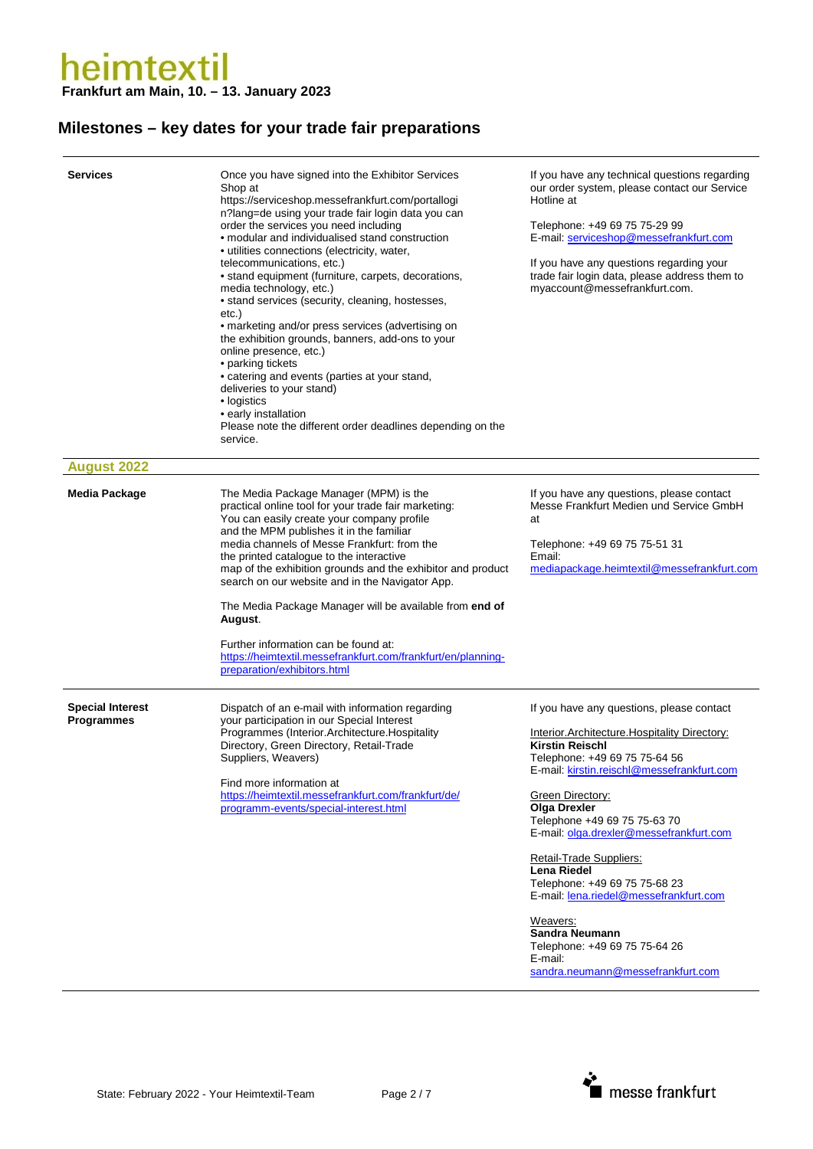| <b>Services</b>                       | Once you have signed into the Exhibitor Services<br>Shop at<br>https://serviceshop.messefrankfurt.com/portallogi<br>n?lang=de using your trade fair login data you can<br>order the services you need including<br>• modular and individualised stand construction<br>· utilities connections (electricity, water,<br>telecommunications, etc.)<br>• stand equipment (furniture, carpets, decorations,<br>media technology, etc.)<br>• stand services (security, cleaning, hostesses,<br>etc.)<br>• marketing and/or press services (advertising on<br>the exhibition grounds, banners, add-ons to your<br>online presence, etc.)<br>• parking tickets<br>• catering and events (parties at your stand,<br>deliveries to your stand)<br>• logistics<br>• early installation<br>Please note the different order deadlines depending on the<br>service. | If you have any technical questions regarding<br>our order system, please contact our Service<br>Hotline at<br>Telephone: +49 69 75 75-29 99<br>E-mail: serviceshop@messefrankfurt.com<br>If you have any questions regarding your<br>trade fair login data, please address them to<br>myaccount@messefrankfurt.com.                                                                                                                                                                                                                                                |
|---------------------------------------|-------------------------------------------------------------------------------------------------------------------------------------------------------------------------------------------------------------------------------------------------------------------------------------------------------------------------------------------------------------------------------------------------------------------------------------------------------------------------------------------------------------------------------------------------------------------------------------------------------------------------------------------------------------------------------------------------------------------------------------------------------------------------------------------------------------------------------------------------------|---------------------------------------------------------------------------------------------------------------------------------------------------------------------------------------------------------------------------------------------------------------------------------------------------------------------------------------------------------------------------------------------------------------------------------------------------------------------------------------------------------------------------------------------------------------------|
| <b>August 2022</b>                    |                                                                                                                                                                                                                                                                                                                                                                                                                                                                                                                                                                                                                                                                                                                                                                                                                                                       |                                                                                                                                                                                                                                                                                                                                                                                                                                                                                                                                                                     |
| <b>Media Package</b>                  | The Media Package Manager (MPM) is the<br>practical online tool for your trade fair marketing:<br>You can easily create your company profile<br>and the MPM publishes it in the familiar<br>media channels of Messe Frankfurt: from the<br>the printed catalogue to the interactive<br>map of the exhibition grounds and the exhibitor and product<br>search on our website and in the Navigator App.<br>The Media Package Manager will be available from end of<br>August.<br>Further information can be found at:<br>https://heimtextil.messefrankfurt.com/frankfurt/en/planning-<br>preparation/exhibitors.html                                                                                                                                                                                                                                    | If you have any questions, please contact<br>Messe Frankfurt Medien und Service GmbH<br>at<br>Telephone: +49 69 75 75-51 31<br>Email:<br>mediapackage.heimtextil@messefrankfurt.com                                                                                                                                                                                                                                                                                                                                                                                 |
| <b>Special Interest</b><br>Programmes | Dispatch of an e-mail with information regarding<br>your participation in our Special Interest<br>Programmes (Interior.Architecture.Hospitality<br>Directory, Green Directory, Retail-Trade<br>Suppliers, Weavers)<br>Find more information at<br>https://heimtextil.messefrankfurt.com/frankfurt/de/<br>programm-events/special-interest.html                                                                                                                                                                                                                                                                                                                                                                                                                                                                                                        | If you have any questions, please contact<br>Interior.Architecture.Hospitality Directory.<br><b>Kirstin Reischl</b><br>Telephone: +49 69 75 75-64 56<br>E-mail: kirstin.reischl@messefrankfurt.com<br>Green Directory:<br><b>Olga Drexler</b><br>Telephone +49 69 75 75-63 70<br>E-mail: olga.drexler@messefrankfurt.com<br>Retail-Trade Suppliers:<br><b>Lena Riedel</b><br>Telephone: +49 69 75 75-68 23<br>E-mail: lena.riedel@messefrankfurt.com<br>Weavers:<br>Sandra Neumann<br>Telephone: +49 69 75 75-64 26<br>E-mail:<br>sandra.neumann@messefrankfurt.com |

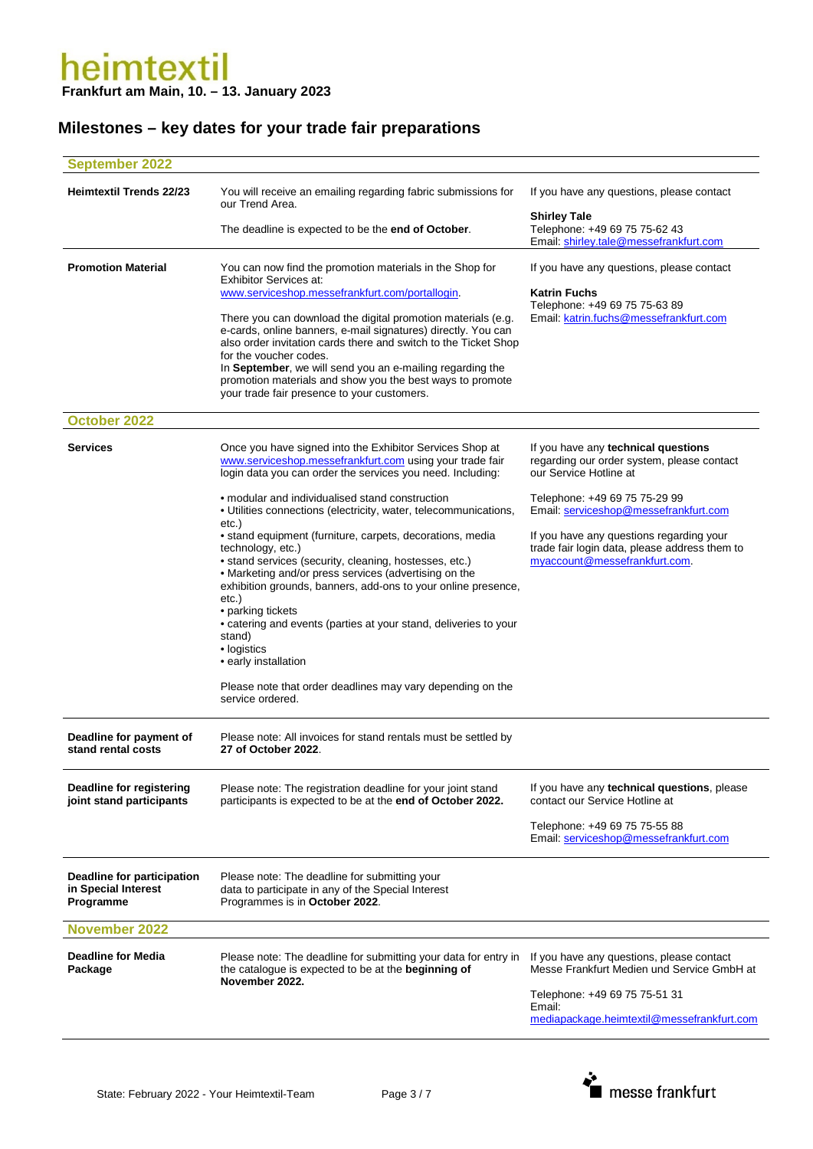| <b>September 2022</b>                                          |                                                                                                                                                                                                                            |                                                                                                                            |
|----------------------------------------------------------------|----------------------------------------------------------------------------------------------------------------------------------------------------------------------------------------------------------------------------|----------------------------------------------------------------------------------------------------------------------------|
| <b>Heimtextil Trends 22/23</b>                                 | You will receive an emailing regarding fabric submissions for<br>our Trend Area.                                                                                                                                           | If you have any questions, please contact                                                                                  |
|                                                                | The deadline is expected to be the <b>end of October</b> .                                                                                                                                                                 | <b>Shirley Tale</b><br>Telephone: +49 69 75 75-62 43<br>Email: shirley.tale@messefrankfurt.com                             |
| <b>Promotion Material</b>                                      | You can now find the promotion materials in the Shop for<br>Exhibitor Services at:                                                                                                                                         | If you have any questions, please contact                                                                                  |
|                                                                | www.serviceshop.messefrankfurt.com/portallogin.                                                                                                                                                                            | <b>Katrin Fuchs</b><br>Telephone: +49 69 75 75-63 89                                                                       |
|                                                                | There you can download the digital promotion materials (e.g.<br>e-cards, online banners, e-mail signatures) directly. You can<br>also order invitation cards there and switch to the Ticket Shop<br>for the voucher codes. | Email: katrin.fuchs@messefrankfurt.com                                                                                     |
|                                                                | In September, we will send you an e-mailing regarding the<br>promotion materials and show you the best ways to promote<br>your trade fair presence to your customers.                                                      |                                                                                                                            |
| October 2022                                                   |                                                                                                                                                                                                                            |                                                                                                                            |
| <b>Services</b>                                                | Once you have signed into the Exhibitor Services Shop at<br>www.serviceshop.messefrankfurt.com using your trade fair<br>login data you can order the services you need. Including:                                         | If you have any technical questions<br>regarding our order system, please contact<br>our Service Hotline at                |
|                                                                | • modular and individualised stand construction<br>• Utilities connections (electricity, water, telecommunications,<br>etc.)                                                                                               | Telephone: +49 69 75 75-29 99<br>Email: serviceshop@messefrankfurt.com                                                     |
|                                                                | • stand equipment (furniture, carpets, decorations, media<br>technology, etc.)<br>• stand services (security, cleaning, hostesses, etc.)<br>• Marketing and/or press services (advertising on the                          | If you have any questions regarding your<br>trade fair login data, please address them to<br>myaccount@messefrankfurt.com. |
|                                                                | exhibition grounds, banners, add-ons to your online presence,<br>etc.)<br>• parking tickets<br>• catering and events (parties at your stand, deliveries to your                                                            |                                                                                                                            |
|                                                                | stand)<br>• logistics<br>• early installation                                                                                                                                                                              |                                                                                                                            |
|                                                                | Please note that order deadlines may vary depending on the<br>service ordered.                                                                                                                                             |                                                                                                                            |
| Deadline for payment of<br>stand rental costs                  | Please note: All invoices for stand rentals must be settled by<br>27 of October 2022.                                                                                                                                      |                                                                                                                            |
| <b>Deadline for registering</b><br>joint stand participants    | Please note: The registration deadline for your joint stand<br>participants is expected to be at the end of October 2022.                                                                                                  | If you have any technical questions, please<br>contact our Service Hotline at                                              |
|                                                                |                                                                                                                                                                                                                            | Telephone: +49 69 75 75-55 88<br>Email: serviceshop@messefrankfurt.com                                                     |
| Deadline for participation<br>in Special Interest<br>Programme | Please note: The deadline for submitting your<br>data to participate in any of the Special Interest<br>Programmes is in October 2022.                                                                                      |                                                                                                                            |
| <b>November 2022</b>                                           |                                                                                                                                                                                                                            |                                                                                                                            |
| <b>Deadline for Media</b><br>Package                           | Please note: The deadline for submitting your data for entry in<br>the catalogue is expected to be at the beginning of<br>November 2022.                                                                                   | If you have any questions, please contact<br>Messe Frankfurt Medien und Service GmbH at                                    |
|                                                                |                                                                                                                                                                                                                            | Telephone: +49 69 75 75-51 31<br>Email:                                                                                    |
|                                                                |                                                                                                                                                                                                                            | mediapackage.heimtextil@messefrankfurt.com                                                                                 |

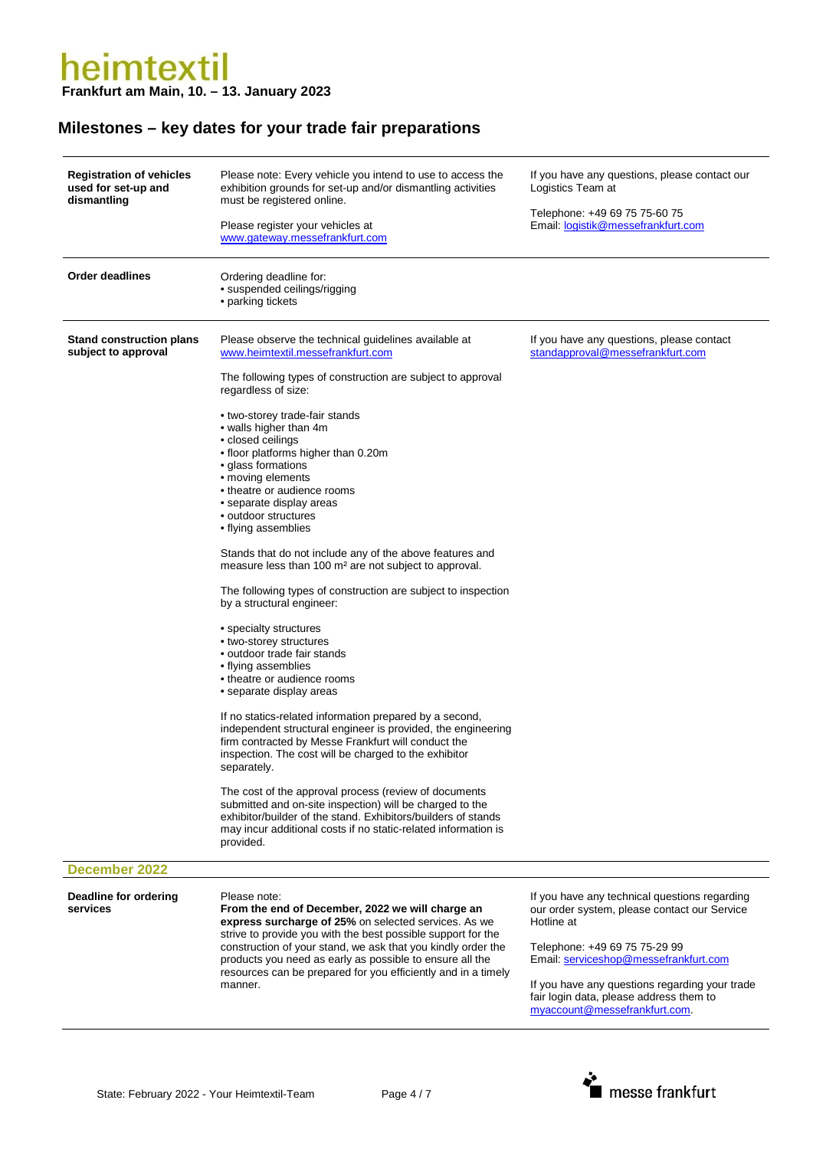| <b>Registration of vehicles</b><br>used for set-up and<br>dismantling<br><b>Order deadlines</b> | Please note: Every vehicle you intend to use to access the<br>exhibition grounds for set-up and/or dismantling activities<br>must be registered online.<br>Please register your vehicles at<br>www.gateway.messefrankfurt.com<br>Ordering deadline for:<br>• suspended ceilings/rigging<br>• parking tickets                                                                                                                                                                                                                                                                                                                                                                                                                                                                                                                                                                                                                                                                                                                                                                                                                                                                                                                         | If you have any questions, please contact our<br>Logistics Team at<br>Telephone: +49 69 75 75-60 75<br>Email: logistik@messefrankfurt.com                                                                                                                                                                           |
|-------------------------------------------------------------------------------------------------|--------------------------------------------------------------------------------------------------------------------------------------------------------------------------------------------------------------------------------------------------------------------------------------------------------------------------------------------------------------------------------------------------------------------------------------------------------------------------------------------------------------------------------------------------------------------------------------------------------------------------------------------------------------------------------------------------------------------------------------------------------------------------------------------------------------------------------------------------------------------------------------------------------------------------------------------------------------------------------------------------------------------------------------------------------------------------------------------------------------------------------------------------------------------------------------------------------------------------------------|---------------------------------------------------------------------------------------------------------------------------------------------------------------------------------------------------------------------------------------------------------------------------------------------------------------------|
| <b>Stand construction plans</b><br>subject to approval                                          | Please observe the technical guidelines available at<br>www.heimtextil.messefrankfurt.com<br>The following types of construction are subject to approval                                                                                                                                                                                                                                                                                                                                                                                                                                                                                                                                                                                                                                                                                                                                                                                                                                                                                                                                                                                                                                                                             | If you have any questions, please contact<br>standapproval@messefrankfurt.com                                                                                                                                                                                                                                       |
|                                                                                                 | regardless of size:<br>• two-storey trade-fair stands<br>• walls higher than 4m<br>• closed ceilings<br>• floor platforms higher than 0.20m<br>• glass formations<br>• moving elements<br>• theatre or audience rooms<br>• separate display areas<br>• outdoor structures<br>• flying assemblies<br>Stands that do not include any of the above features and<br>measure less than 100 m <sup>2</sup> are not subject to approval.<br>The following types of construction are subject to inspection<br>by a structural engineer:<br>• specialty structures<br>• two-storey structures<br>· outdoor trade fair stands<br>• flying assemblies<br>• theatre or audience rooms<br>• separate display areas<br>If no statics-related information prepared by a second,<br>independent structural engineer is provided, the engineering<br>firm contracted by Messe Frankfurt will conduct the<br>inspection. The cost will be charged to the exhibitor<br>separately.<br>The cost of the approval process (review of documents<br>submitted and on-site inspection) will be charged to the<br>exhibitor/builder of the stand. Exhibitors/builders of stands<br>may incur additional costs if no static-related information is<br>provided. |                                                                                                                                                                                                                                                                                                                     |
| <b>December 2022</b>                                                                            |                                                                                                                                                                                                                                                                                                                                                                                                                                                                                                                                                                                                                                                                                                                                                                                                                                                                                                                                                                                                                                                                                                                                                                                                                                      |                                                                                                                                                                                                                                                                                                                     |
| Deadline for ordering<br>services                                                               | Please note:<br>From the end of December, 2022 we will charge an<br>express surcharge of 25% on selected services. As we<br>strive to provide you with the best possible support for the<br>construction of your stand, we ask that you kindly order the<br>products you need as early as possible to ensure all the<br>resources can be prepared for you efficiently and in a timely<br>manner.                                                                                                                                                                                                                                                                                                                                                                                                                                                                                                                                                                                                                                                                                                                                                                                                                                     | If you have any technical questions regarding<br>our order system, please contact our Service<br>Hotline at<br>Telephone: +49 69 75 75-29 99<br>Email: serviceshop@messefrankfurt.com<br>If you have any questions regarding your trade<br>fair login data, please address them to<br>myaccount@messefrankfurt.com. |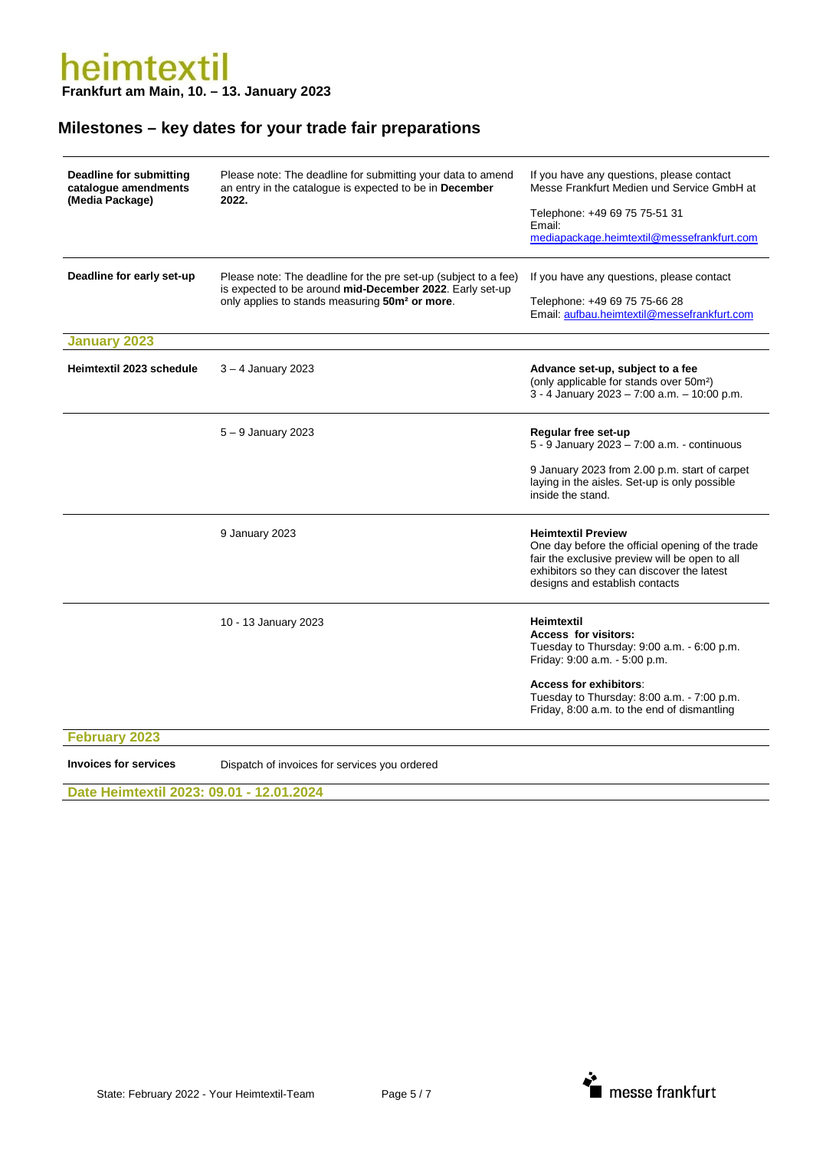#### **Milestones – key dates for your trade fair preparations**

| Deadline for submitting<br>catalogue amendments<br>(Media Package) | Please note: The deadline for submitting your data to amend<br>an entry in the catalogue is expected to be in December<br>2022.                                                           | If you have any questions, please contact<br>Messe Frankfurt Medien und Service GmbH at<br>Telephone: +49 69 75 75-51 31<br>Email:<br>mediapackage.heimtextil@messefrankfurt.com                                                                              |
|--------------------------------------------------------------------|-------------------------------------------------------------------------------------------------------------------------------------------------------------------------------------------|---------------------------------------------------------------------------------------------------------------------------------------------------------------------------------------------------------------------------------------------------------------|
| Deadline for early set-up                                          | Please note: The deadline for the pre set-up (subject to a fee)<br>is expected to be around mid-December 2022. Early set-up<br>only applies to stands measuring 50m <sup>2</sup> or more. | If you have any questions, please contact<br>Telephone: +49 69 75 75-66 28<br>Email: aufbau.heimtextil@messefrankfurt.com                                                                                                                                     |
| <b>January 2023</b>                                                |                                                                                                                                                                                           |                                                                                                                                                                                                                                                               |
| Heimtextil 2023 schedule                                           | $3 - 4$ January 2023                                                                                                                                                                      | Advance set-up, subject to a fee<br>(only applicable for stands over 50m <sup>2</sup> )<br>3 - 4 January 2023 - 7:00 a.m. - 10:00 p.m.                                                                                                                        |
|                                                                    | $5 - 9$ January 2023                                                                                                                                                                      | Regular free set-up<br>5 - 9 January 2023 - 7:00 a.m. - continuous<br>9 January 2023 from 2.00 p.m. start of carpet<br>laying in the aisles. Set-up is only possible<br>inside the stand.                                                                     |
|                                                                    | 9 January 2023                                                                                                                                                                            | <b>Heimtextil Preview</b><br>One day before the official opening of the trade<br>fair the exclusive preview will be open to all<br>exhibitors so they can discover the latest<br>designs and establish contacts                                               |
|                                                                    | 10 - 13 January 2023                                                                                                                                                                      | <b>Heimtextil</b><br><b>Access for visitors:</b><br>Tuesday to Thursday: 9:00 a.m. - 6:00 p.m.<br>Friday: 9.00 a.m. - 5:00 p.m.<br><b>Access for exhibitors:</b><br>Tuesday to Thursday: 8:00 a.m. - 7:00 p.m.<br>Friday, 8:00 a.m. to the end of dismantling |
| <b>February 2023</b>                                               |                                                                                                                                                                                           |                                                                                                                                                                                                                                                               |
| <b>Invoices for services</b>                                       | Dispatch of invoices for services you ordered                                                                                                                                             |                                                                                                                                                                                                                                                               |

**Date Heimtextil 2023: 09.01 - 12.01.2024**

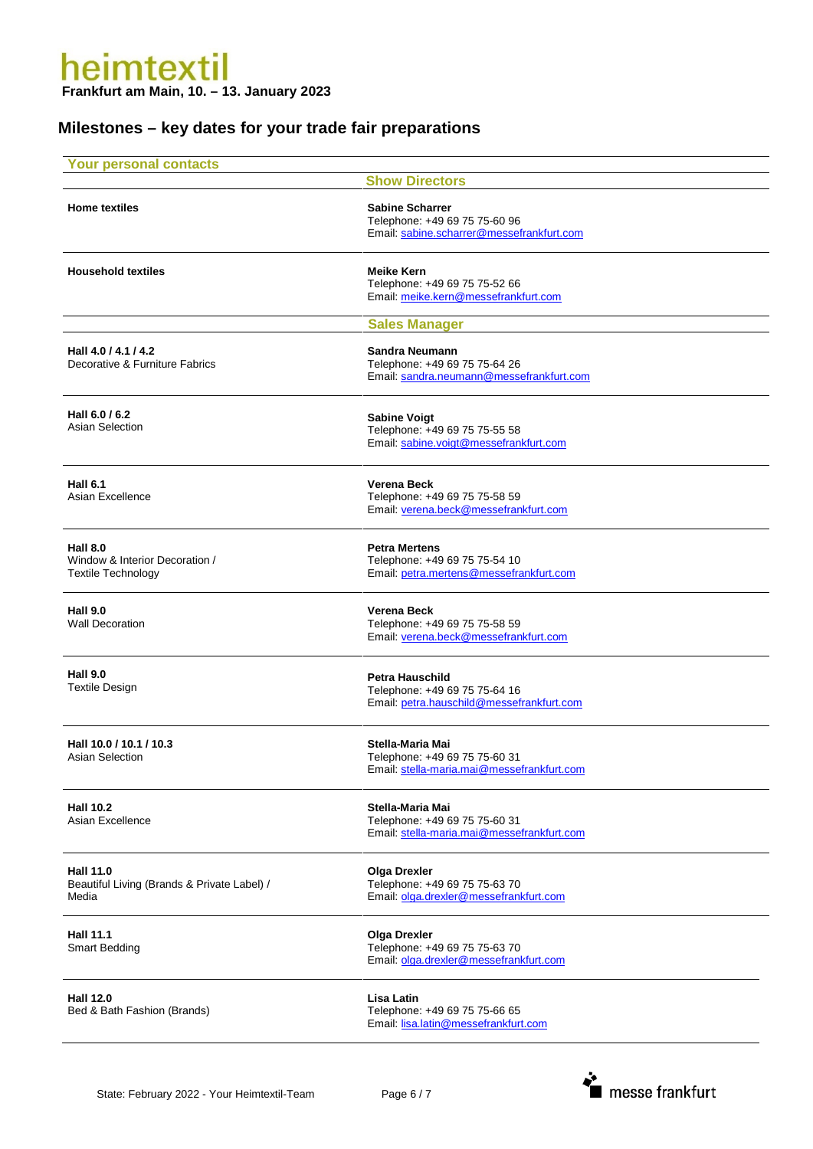| <b>Your personal contacts</b>                                                  |                                                                                                      |
|--------------------------------------------------------------------------------|------------------------------------------------------------------------------------------------------|
|                                                                                | <b>Show Directors</b>                                                                                |
| <b>Home textiles</b>                                                           | <b>Sabine Scharrer</b><br>Telephone: +49 69 75 75-60 96<br>Email: sabine.scharrer@messefrankfurt.com |
| <b>Household textiles</b>                                                      | <b>Meike Kern</b><br>Telephone: +49 69 75 75-52 66<br>Email: meike.kern@messefrankfurt.com           |
|                                                                                | <b>Sales Manager</b>                                                                                 |
| Hall 4.0 / 4.1 / 4.2<br>Decorative & Furniture Fabrics                         | Sandra Neumann<br>Telephone: +49 69 75 75-64 26<br>Email: sandra.neumann@messefrankfurt.com          |
| Hall 6.0 / 6.2<br>Asian Selection                                              | <b>Sabine Voigt</b><br>Telephone: +49 69 75 75-55 58<br>Email: sabine.voigt@messefrankfurt.com       |
| <b>Hall 6.1</b><br>Asian Excellence                                            | Verena Beck<br>Telephone: +49 69 75 75-58 59<br>Email: verena.beck@messefrankfurt.com                |
| <b>Hall 8.0</b><br>Window & Interior Decoration /<br><b>Textile Technology</b> | <b>Petra Mertens</b><br>Telephone: +49 69 75 75-54 10<br>Email: petra.mertens@messefrankfurt.com     |
| <b>Hall 9.0</b><br><b>Wall Decoration</b>                                      | <b>Verena Beck</b><br>Telephone: +49 69 75 75-58 59<br>Email: verena.beck@messefrankfurt.com         |
| <b>Hall 9.0</b><br><b>Textile Design</b>                                       | <b>Petra Hauschild</b><br>Telephone: +49 69 75 75-64 16<br>Email: petra.hauschild@messefrankfurt.com |
| Hall 10.0 / 10.1 / 10.3<br><b>Asian Selection</b>                              | Stella-Maria Mai<br>Telephone: +49 69 75 75-60 31<br>Email: stella-maria.mai@messefrankfurt.com      |
| <b>Hall 10.2</b><br>Asian Excellence                                           | Stella-Maria Mai<br>Telephone: +49 69 75 75-60 31<br>Email: stella-maria.mai@messefrankfurt.com      |
| <b>Hall 11.0</b><br>Beautiful Living (Brands & Private Label) /<br>Media       | <b>Olga Drexler</b><br>Telephone: +49 69 75 75-63 70<br>Email: olga.drexler@messefrankfurt.com       |
| <b>Hall 11.1</b><br><b>Smart Bedding</b>                                       | <b>Olga Drexler</b><br>Telephone: +49 69 75 75-63 70<br>Email: olga.drexler@messefrankfurt.com       |
| <b>Hall 12.0</b><br>Bed & Bath Fashion (Brands)                                | Lisa Latin<br>Telephone: +49 69 75 75-66 65<br>Email: lisa.latin@messefrankfurt.com                  |
|                                                                                |                                                                                                      |